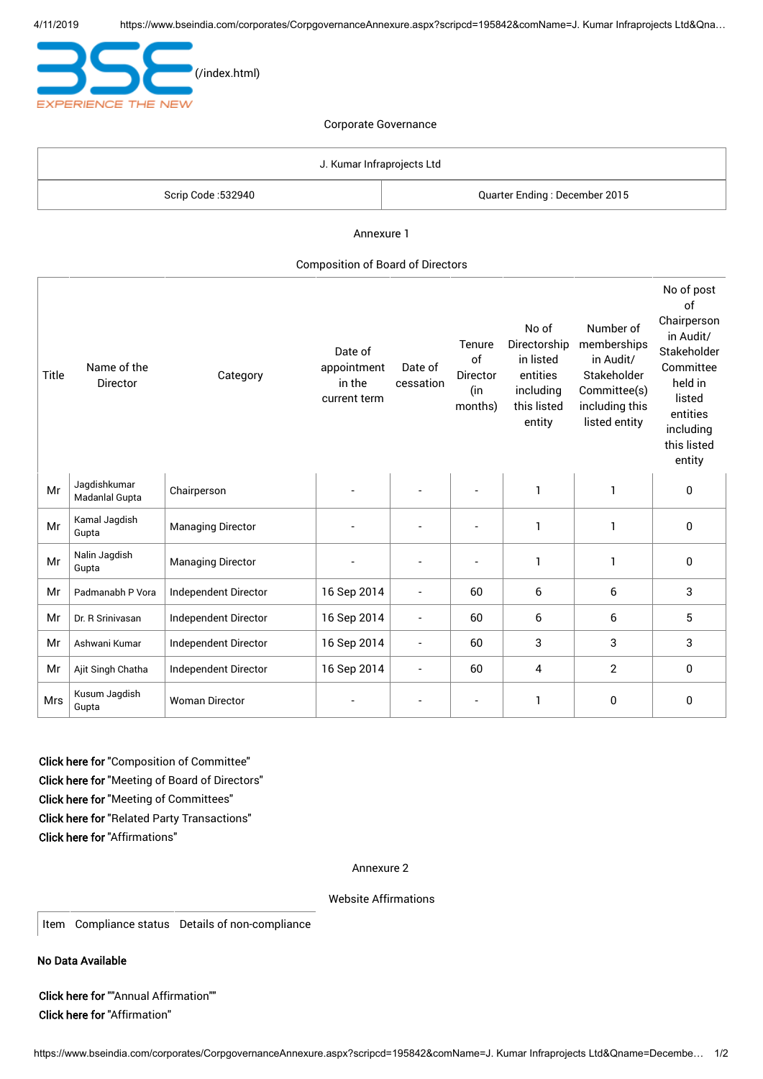

| J. Kumar Infraprojects Ltd |                               |  |  |
|----------------------------|-------------------------------|--|--|
| Scrip Code :532940         | Quarter Ending: December 2015 |  |  |

Annexure 1

#### Composition of Board of Directors

| Title      | Name of the<br>Director        | Category                 | Date of<br>appointment<br>in the<br>current term | Date of<br>cessation     | Tenure<br>of<br>Director<br>(in<br>months) | No of<br>Directorship<br>in listed<br>entities<br>including<br>this listed<br>entity | Number of<br>memberships<br>in Audit/<br>Stakeholder<br>Committee(s)<br>including this<br>listed entity | No of post<br>of<br>Chairperson<br>in Audit/<br>Stakeholder<br>Committee<br>held in<br>listed<br>entities<br>including<br>this listed<br>entity |
|------------|--------------------------------|--------------------------|--------------------------------------------------|--------------------------|--------------------------------------------|--------------------------------------------------------------------------------------|---------------------------------------------------------------------------------------------------------|-------------------------------------------------------------------------------------------------------------------------------------------------|
| Mr         | Jaqdishkumar<br>Madanlal Gupta | Chairperson              |                                                  |                          |                                            | $\mathbf{1}$                                                                         | $\mathbf{1}$                                                                                            | 0                                                                                                                                               |
| Mr         | Kamal Jagdish<br>Gupta         | <b>Managing Director</b> |                                                  |                          |                                            | 1                                                                                    | 1                                                                                                       | $\mathbf{0}$                                                                                                                                    |
| Mr         | Nalin Jagdish<br>Gupta         | <b>Managing Director</b> |                                                  |                          |                                            | 1                                                                                    | $\mathbf{1}$                                                                                            | $\mathbf{0}$                                                                                                                                    |
| Mr         | Padmanabh P Vora               | Independent Director     | 16 Sep 2014                                      |                          | 60                                         | 6                                                                                    | 6                                                                                                       | 3                                                                                                                                               |
| Mr         | Dr. R Srinivasan               | Independent Director     | 16 Sep 2014                                      |                          | 60                                         | 6                                                                                    | 6                                                                                                       | 5                                                                                                                                               |
| Mr         | Ashwani Kumar                  | Independent Director     | 16 Sep 2014                                      |                          | 60                                         | 3                                                                                    | 3                                                                                                       | 3                                                                                                                                               |
| Mr         | Ajit Singh Chatha              | Independent Director     | 16 Sep 2014                                      | $\overline{\phantom{a}}$ | 60                                         | 4                                                                                    | $\overline{2}$                                                                                          | $\mathbf{0}$                                                                                                                                    |
| <b>Mrs</b> | Kusum Jagdish<br>Gupta         | <b>Woman Director</b>    |                                                  |                          |                                            | 1                                                                                    | 0                                                                                                       | 0                                                                                                                                               |

Click here for "Composition of Committee" Click here for "Meeting of Board of Directors" Click here for "Meeting of Committees" Click here for "Related Party Transactions" Click here for "Affirmations"

#### Annexure 2

Website Affirmations

Item Compliance status Details of non-compliance

No Data Available

Click here for ""Annual Affirmation"" Click here for "Affirmation"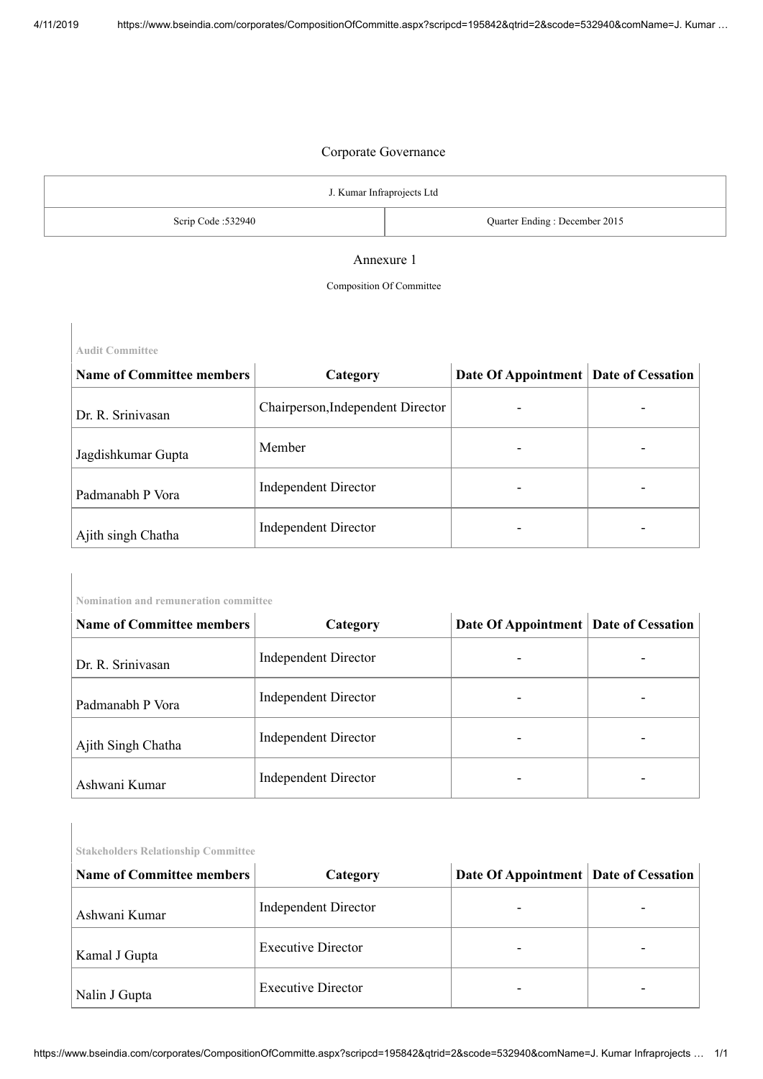| J. Kumar Infraprojects Ltd |                               |  |  |
|----------------------------|-------------------------------|--|--|
| Scrip Code: 532940         | Quarter Ending: December 2015 |  |  |

#### Annexure 1

#### Composition Of Committee

**Audit Committee**

**Nomination and remuneration committee**

| <b>Name of Committee members</b> | Category                          | Date Of Appointment Date of Cessation |  |
|----------------------------------|-----------------------------------|---------------------------------------|--|
| Dr. R. Srinivasan                | Chairperson, Independent Director |                                       |  |
| Jagdishkumar Gupta               | Member                            |                                       |  |
| Padmanabh P Vora                 | <b>Independent Director</b>       |                                       |  |
| Ajith singh Chatha               | <b>Independent Director</b>       |                                       |  |

| <b>Name of Committee members</b> | Category             | Date Of Appointment Date of Cessation |  |
|----------------------------------|----------------------|---------------------------------------|--|
| Dr. R. Srinivasan                | Independent Director |                                       |  |
| $\mathbf{r}$ 1<br>$11 \text{ m}$ | Independent Director |                                       |  |

| Padmanabh P Vora   | <b>Independent Director</b> | - |
|--------------------|-----------------------------|---|
| Ajith Singh Chatha | <b>Independent Director</b> |   |
| Ashwani Kumar      | <b>Independent Director</b> |   |

| <b>Stakeholders Relationship Committee</b> |                             |                                       |  |  |  |  |
|--------------------------------------------|-----------------------------|---------------------------------------|--|--|--|--|
| <b>Name of Committee members</b>           | Category                    | Date Of Appointment Date of Cessation |  |  |  |  |
| Ashwani Kumar                              | <b>Independent Director</b> |                                       |  |  |  |  |
| Kamal J Gupta                              | <b>Executive Director</b>   |                                       |  |  |  |  |
| Nalin J Gupta                              | <b>Executive Director</b>   |                                       |  |  |  |  |
|                                            |                             |                                       |  |  |  |  |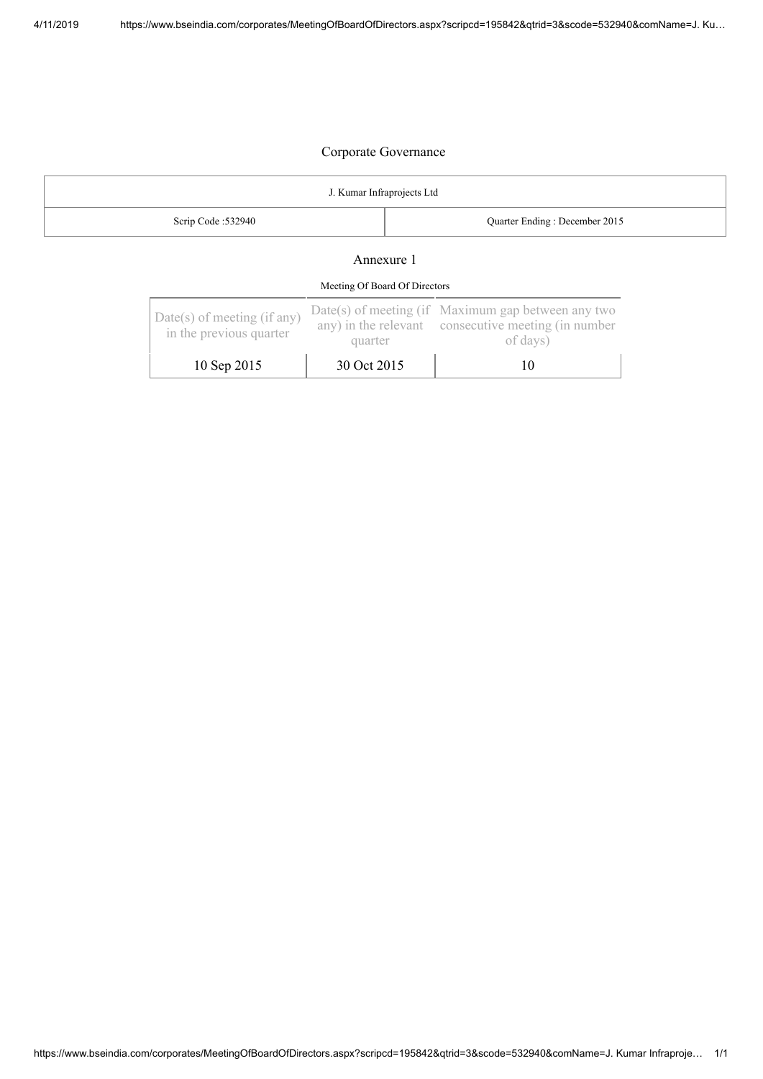| J. Kumar Infraprojects Ltd |                               |  |  |
|----------------------------|-------------------------------|--|--|
| Scrip Code :532940         | Quarter Ending: December 2015 |  |  |
| Annexure 1                 |                               |  |  |

# Meeting Of Board Of Directors

| Date(s) of meeting (if any)<br>in the previous quarter | quarter     | Date(s) of meeting (if Maximum gap between any two<br>any) in the relevant consecutive meeting (in number<br>of days) |  |
|--------------------------------------------------------|-------------|-----------------------------------------------------------------------------------------------------------------------|--|
| 10 Sep 2015                                            | 30 Oct 2015 |                                                                                                                       |  |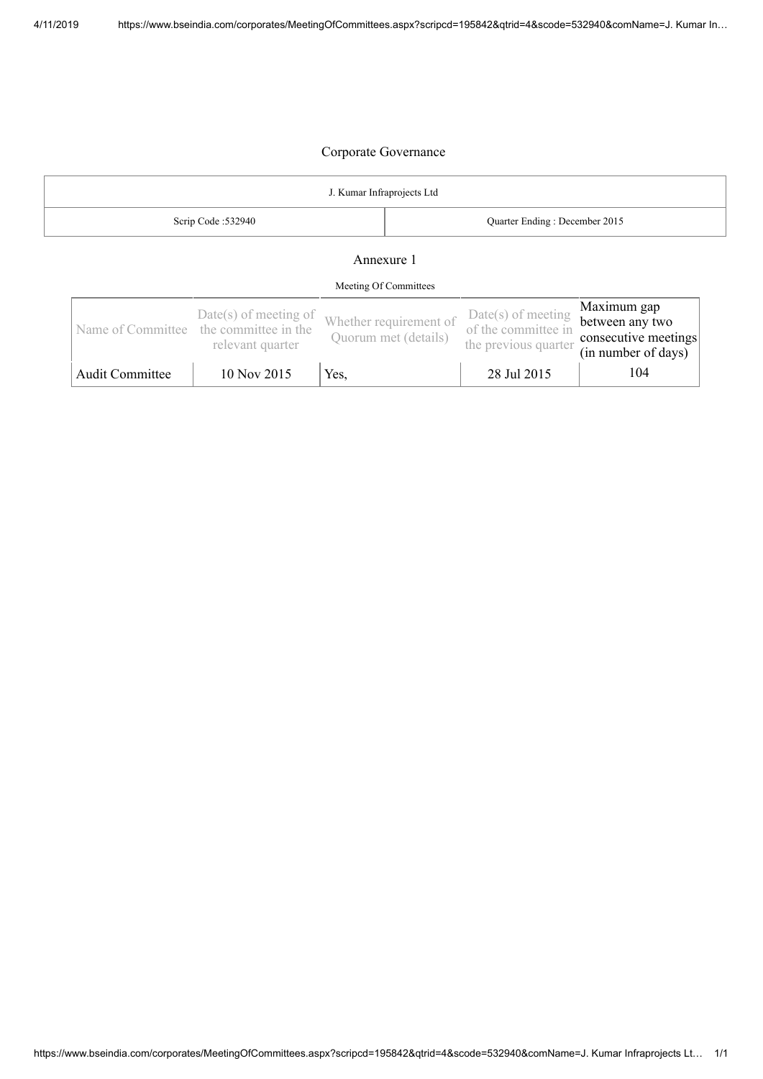| J. Kumar Infraprojects Ltd                          |                                                                                       |      |                                                |                                                                     |                                                                               |
|-----------------------------------------------------|---------------------------------------------------------------------------------------|------|------------------------------------------------|---------------------------------------------------------------------|-------------------------------------------------------------------------------|
| Scrip Code: 532940<br>Quarter Ending: December 2015 |                                                                                       |      |                                                |                                                                     |                                                                               |
| Annexure 1<br>Meeting Of Committees                 |                                                                                       |      |                                                |                                                                     |                                                                               |
|                                                     | $Date(s)$ of meeting of<br>Name of Committee the committee in the<br>relevant quarter |      | Whether requirement of<br>Quorum met (details) | $Date(s)$ of meeting<br>of the committee in<br>the previous quarter | Maximum gap<br>between any two<br>consecutive meetings<br>(in number of days) |
| <b>Audit Committee</b>                              | $10$ Nov $2015$                                                                       | Yes, |                                                | 28 Jul 2015                                                         | 104                                                                           |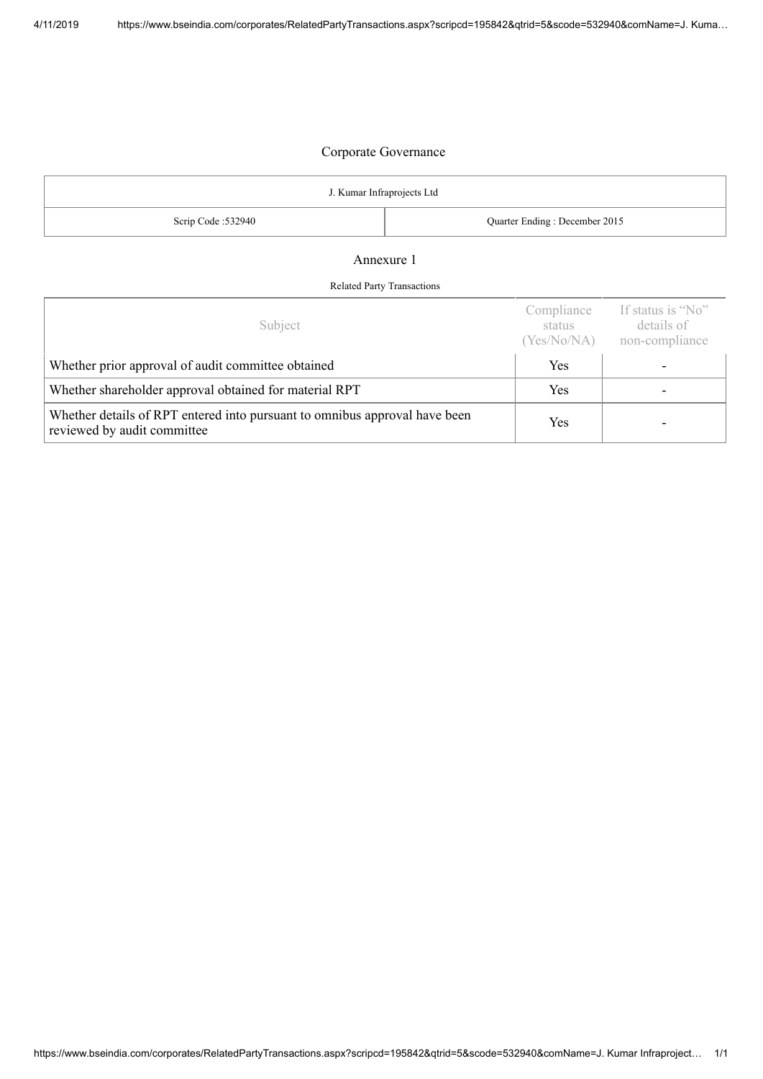| J. Kumar Infraprojects Ltd |                               |  |  |
|----------------------------|-------------------------------|--|--|
| Scrip Code: 532940         | Quarter Ending: December 2015 |  |  |
|                            |                               |  |  |

#### Annexure 1

#### Related Party Transactions

| Subject                                                                                                   | Compliance<br>status<br>(Yes/No/NA) | If status is "No"<br>details of<br>non-compliance |
|-----------------------------------------------------------------------------------------------------------|-------------------------------------|---------------------------------------------------|
| Whether prior approval of audit committee obtained                                                        | Yes                                 |                                                   |
| Whether shareholder approval obtained for material RPT                                                    | Yes                                 |                                                   |
| Whether details of RPT entered into pursuant to omnibus approval have been<br>reviewed by audit committee | Yes                                 |                                                   |